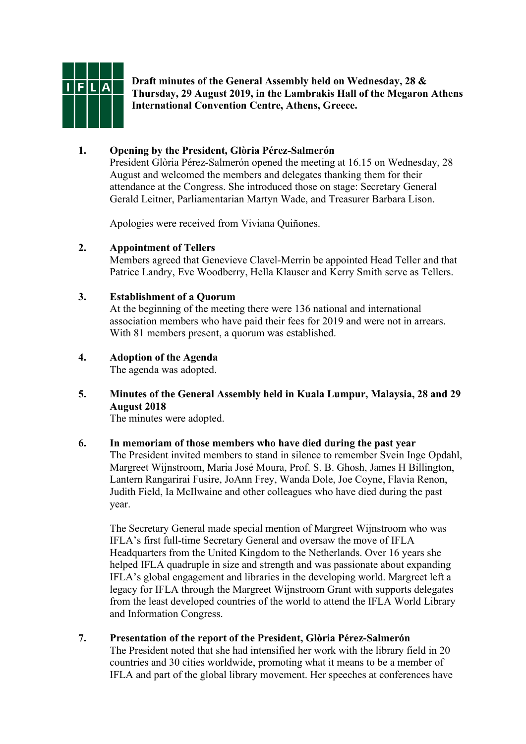

**Draft minutes of the General Assembly held on Wednesday, 28 & Thursday, 29 August 2019, in the Lambrakis Hall of the Megaron Athens International Convention Centre, Athens, Greece.**

# **1. Opening by the President, Glòria Pérez-Salmerón**

President Glòria Pérez-Salmerón opened the meeting at 16.15 on Wednesday, 28 August and welcomed the members and delegates thanking them for their attendance at the Congress. She introduced those on stage: Secretary General Gerald Leitner, Parliamentarian Martyn Wade, and Treasurer Barbara Lison.

Apologies were received from Viviana Quiñones.

## **2. Appointment of Tellers**

Members agreed that Genevieve Clavel-Merrin be appointed Head Teller and that Patrice Landry, Eve Woodberry, Hella Klauser and Kerry Smith serve as Tellers.

## **3. Establishment of a Quorum**

At the beginning of the meeting there were 136 national and international association members who have paid their fees for 2019 and were not in arrears. With 81 members present, a quorum was established.

# **4. Adoption of the Agenda**

The agenda was adopted.

# **5. Minutes of the General Assembly held in Kuala Lumpur, Malaysia, 28 and 29 August 2018**

The minutes were adopted.

#### **6. In memoriam of those members who have died during the past year**

The President invited members to stand in silence to remember Svein Inge Opdahl, Margreet Wijnstroom, Maria José Moura, Prof. S. B. Ghosh, James H Billington, Lantern Rangarirai Fusire, JoAnn Frey, Wanda Dole, Joe Coyne, Flavia Renon, Judith Field, Ia McIlwaine and other colleagues who have died during the past year.

The Secretary General made special mention of Margreet Wijnstroom who was IFLA's first full-time Secretary General and oversaw the move of IFLA Headquarters from the United Kingdom to the Netherlands. Over 16 years she helped IFLA quadruple in size and strength and was passionate about expanding IFLA's global engagement and libraries in the developing world. Margreet left a legacy for IFLA through the Margreet Wijnstroom Grant with supports delegates from the least developed countries of the world to attend the IFLA World Library and Information Congress.

## **7. Presentation of the report of the President, Glòria Pérez-Salmerón**

The President noted that she had intensified her work with the library field in 20 countries and 30 cities worldwide, promoting what it means to be a member of IFLA and part of the global library movement. Her speeches at conferences have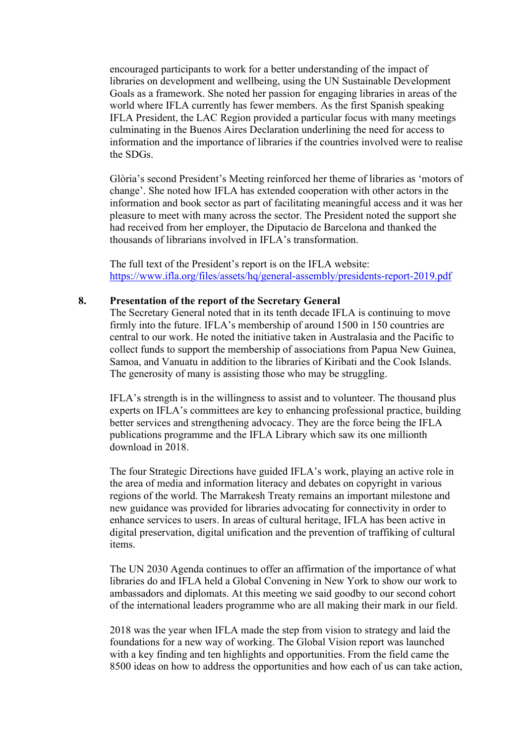encouraged participants to work for a better understanding of the impact of libraries on development and wellbeing, using the UN Sustainable Development Goals as a framework. She noted her passion for engaging libraries in areas of the world where IFLA currently has fewer members. As the first Spanish speaking IFLA President, the LAC Region provided a particular focus with many meetings culminating in the Buenos Aires Declaration underlining the need for access to information and the importance of libraries if the countries involved were to realise the SDGs.

Glòria's second President's Meeting reinforced her theme of libraries as 'motors of change'. She noted how IFLA has extended cooperation with other actors in the information and book sector as part of facilitating meaningful access and it was her pleasure to meet with many across the sector. The President noted the support she had received from her employer, the Diputacio de Barcelona and thanked the thousands of librarians involved in IFLA's transformation.

The full text of the President's report is on the IFLA website: <https://www.ifla.org/files/assets/hq/general-assembly/presidents-report-2019.pdf>

#### **8. Presentation of the report of the Secretary General**

The Secretary General noted that in its tenth decade IFLA is continuing to move firmly into the future. IFLA's membership of around 1500 in 150 countries are central to our work. He noted the initiative taken in Australasia and the Pacific to collect funds to support the membership of associations from Papua New Guinea, Samoa, and Vanuatu in addition to the libraries of Kiribati and the Cook Islands. The generosity of many is assisting those who may be struggling.

IFLA's strength is in the willingness to assist and to volunteer. The thousand plus experts on IFLA's committees are key to enhancing professional practice, building better services and strengthening advocacy. They are the force being the IFLA publications programme and the IFLA Library which saw its one millionth download in 2018.

The four Strategic Directions have guided IFLA's work, playing an active role in the area of media and information literacy and debates on copyright in various regions of the world. The Marrakesh Treaty remains an important milestone and new guidance was provided for libraries advocating for connectivity in order to enhance services to users. In areas of cultural heritage, IFLA has been active in digital preservation, digital unification and the prevention of traffiking of cultural items.

The UN 2030 Agenda continues to offer an affirmation of the importance of what libraries do and IFLA held a Global Convening in New York to show our work to ambassadors and diplomats. At this meeting we said goodby to our second cohort of the international leaders programme who are all making their mark in our field.

2018 was the year when IFLA made the step from vision to strategy and laid the foundations for a new way of working. The Global Vision report was launched with a key finding and ten highlights and opportunities. From the field came the 8500 ideas on how to address the opportunities and how each of us can take action,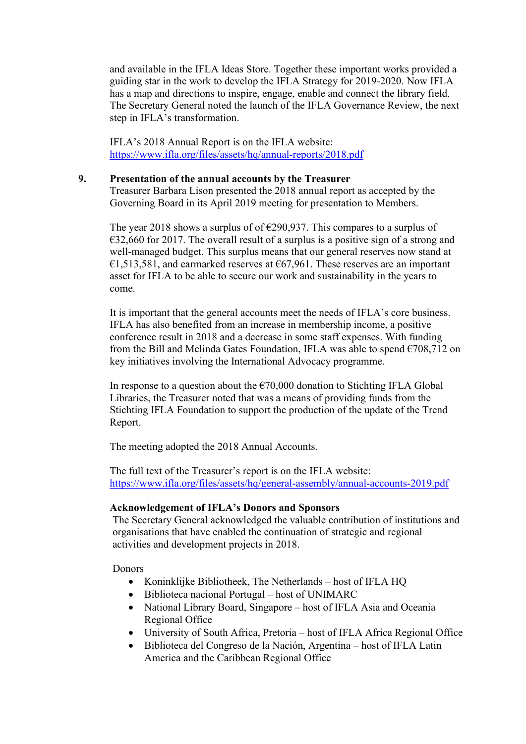and available in the IFLA Ideas Store. Together these important works provided a guiding star in the work to develop the IFLA Strategy for 2019-2020. Now IFLA has a map and directions to inspire, engage, enable and connect the library field. The Secretary General noted the launch of the IFLA Governance Review, the next step in IFLA's transformation.

IFLA's 2018 Annual Report is on the IFLA website: <https://www.ifla.org/files/assets/hq/annual-reports/2018.pdf>

#### **9. Presentation of the annual accounts by the Treasurer**

Treasurer Barbara Lison presented the 2018 annual report as accepted by the Governing Board in its April 2019 meeting for presentation to Members.

The year 2018 shows a surplus of of  $\epsilon$ 290,937. This compares to a surplus of  $\epsilon$ 32,660 for 2017. The overall result of a surplus is a positive sign of a strong and well-managed budget. This surplus means that our general reserves now stand at  $\epsilon$ 1,513,581, and earmarked reserves at  $\epsilon$ 67,961. These reserves are an important asset for IFLA to be able to secure our work and sustainability in the years to come.

It is important that the general accounts meet the needs of IFLA's core business. IFLA has also benefited from an increase in membership income, a positive conference result in 2018 and a decrease in some staff expenses. With funding from the Bill and Melinda Gates Foundation, IFLA was able to spend  $\epsilon$ 708,712 on key initiatives involving the International Advocacy programme.

In response to a question about the  $\epsilon$ 70,000 donation to Stichting IFLA Global Libraries, the Treasurer noted that was a means of providing funds from the Stichting IFLA Foundation to support the production of the update of the Trend Report.

The meeting adopted the 2018 Annual Accounts.

The full text of the Treasurer's report is on the IFLA website: <https://www.ifla.org/files/assets/hq/general-assembly/annual-accounts-2019.pdf>

## **Acknowledgement of IFLA's Donors and Sponsors**

The Secretary General acknowledged the valuable contribution of institutions and organisations that have enabled the continuation of strategic and regional activities and development projects in 2018.

**Donors** 

- Koninklijke Bibliotheek, The Netherlands host of IFLA HQ
- Biblioteca nacional Portugal host of UNIMARC
- National Library Board, Singapore host of IFLA Asia and Oceania Regional Office
- University of South Africa, Pretoria host of IFLA Africa Regional Office
- Biblioteca del Congreso de la Nación, Argentina host of IFLA Latin America and the Caribbean Regional Office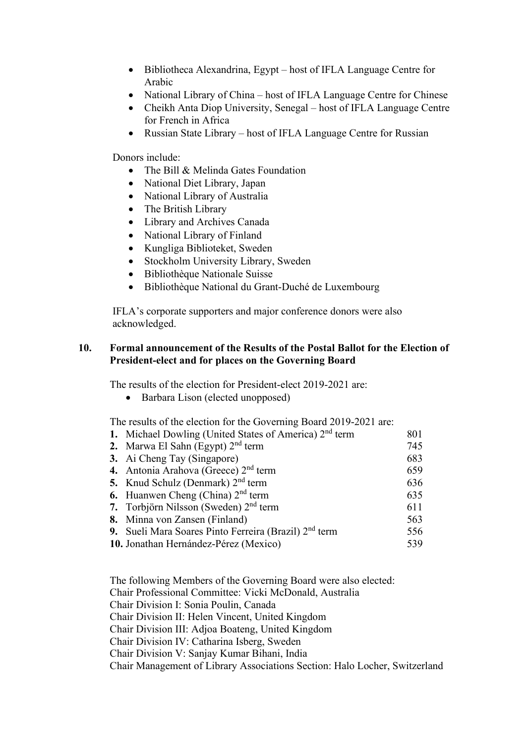- Bibliotheca Alexandrina, Egypt host of IFLA Language Centre for Arabic
- National Library of China host of IFLA Language Centre for Chinese
- Cheikh Anta Diop University, Senegal host of IFLA Language Centre for French in Africa
- Russian State Library host of IFLA Language Centre for Russian

Donors include:

- The Bill & Melinda Gates Foundation
- National Diet Library, Japan
- National Library of Australia
- The British Library
- Library and Archives Canada
- National Library of Finland
- Kungliga Biblioteket, Sweden
- Stockholm University Library, Sweden
- Bibliothèque Nationale Suisse
- Bibliothèque National du Grant-Duché de Luxembourg

IFLA's corporate supporters and major conference donors were also acknowledged.

#### **10. Formal announcement of the Results of the Postal Ballot for the Election of President-elect and for places on the Governing Board**

The results of the election for President-elect 2019-2021 are:

• Barbara Lison (elected unopposed)

The results of the election for the Governing Board 2019-2021 are:

| 1. Michael Dowling (United States of America) 2 <sup>nd</sup> term | 801 |
|--------------------------------------------------------------------|-----|
| 2. Marwa El Sahn (Egypt) $2nd$ term                                | 745 |
| 3. Ai Cheng Tay (Singapore)                                        | 683 |
| 4. Antonia Arahova (Greece) $2nd$ term                             | 659 |
| 5. Knud Schulz (Denmark) $2nd$ term                                | 636 |
| <b>6.</b> Huanwen Cheng (China) $2nd$ term                         | 635 |
| 7. Torbjörn Nilsson (Sweden) $2nd$ term                            | 611 |
| 8. Minna von Zansen (Finland)                                      | 563 |
| 9. Sueli Mara Soares Pinto Ferreira (Brazil) 2 <sup>nd</sup> term  | 556 |
| 10. Jonathan Hernández-Pérez (Mexico)                              | 539 |
|                                                                    |     |

The following Members of the Governing Board were also elected: Chair Professional Committee: Vicki McDonald, Australia Chair Division I: Sonia Poulin, Canada Chair Division II: Helen Vincent, United Kingdom Chair Division III: Adjoa Boateng, United Kingdom Chair Division IV: Catharina Isberg, Sweden Chair Division V: Sanjay Kumar Bihani, India Chair Management of Library Associations Section: Halo Locher, Switzerland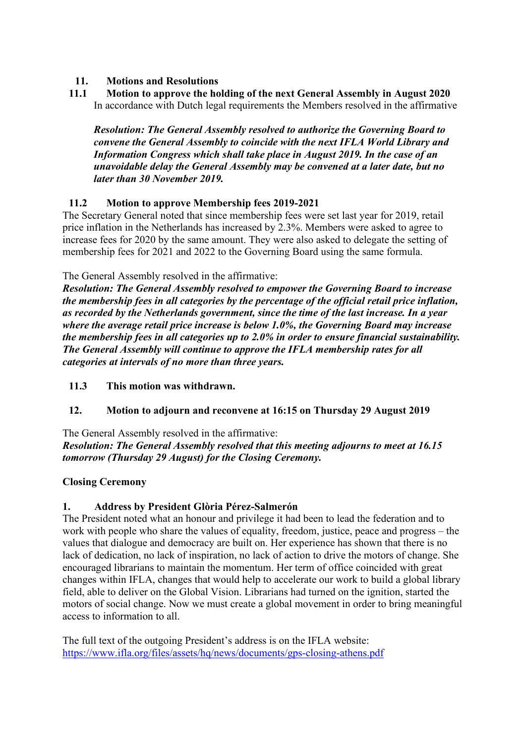# **11. Motions and Resolutions**

# **11.1 Motion to approve the holding of the next General Assembly in August 2020** In accordance with Dutch legal requirements the Members resolved in the affirmative

*Resolution: The General Assembly resolved to authorize the Governing Board to convene the General Assembly to coincide with the next IFLA World Library and Information Congress which shall take place in August 2019. In the case of an unavoidable delay the General Assembly may be convened at a later date, but no later than 30 November 2019.*

# **11.2 Motion to approve Membership fees 2019-2021**

The Secretary General noted that since membership fees were set last year for 2019, retail price inflation in the Netherlands has increased by 2.3%. Members were asked to agree to increase fees for 2020 by the same amount. They were also asked to delegate the setting of membership fees for 2021 and 2022 to the Governing Board using the same formula.

The General Assembly resolved in the affirmative:

*Resolution: The General Assembly resolved to empower the Governing Board to increase the membership fees in all categories by the percentage of the official retail price inflation, as recorded by the Netherlands government, since the time of the last increase. In a year where the average retail price increase is below 1.0%, the Governing Board may increase the membership fees in all categories up to 2.0% in order to ensure financial sustainability. The General Assembly will continue to approve the IFLA membership rates for all categories at intervals of no more than three years.*

## **11.3 This motion was withdrawn.**

# **12. Motion to adjourn and reconvene at 16:15 on Thursday 29 August 2019**

## The General Assembly resolved in the affirmative:

*Resolution: The General Assembly resolved that this meeting adjourns to meet at 16.15 tomorrow (Thursday 29 August) for the Closing Ceremony.*

## **Closing Ceremony**

## **1. Address by President Glòria Pérez-Salmerón**

The President noted what an honour and privilege it had been to lead the federation and to work with people who share the values of equality, freedom, justice, peace and progress – the values that dialogue and democracy are built on. Her experience has shown that there is no lack of dedication, no lack of inspiration, no lack of action to drive the motors of change. She encouraged librarians to maintain the momentum. Her term of office coincided with great changes within IFLA, changes that would help to accelerate our work to build a global library field, able to deliver on the Global Vision. Librarians had turned on the ignition, started the motors of social change. Now we must create a global movement in order to bring meaningful access to information to all.

The full text of the outgoing President's address is on the IFLA website: <https://www.ifla.org/files/assets/hq/news/documents/gps-closing-athens.pdf>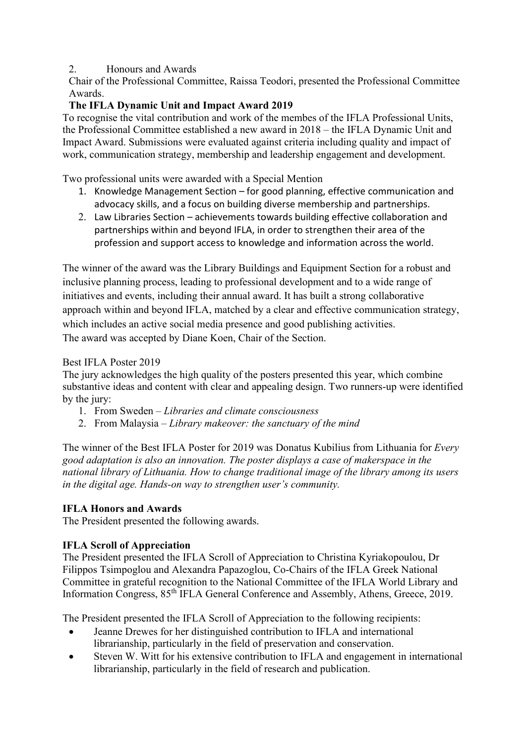# 2. Honours and Awards

Chair of the Professional Committee, Raissa Teodori, presented the Professional Committee Awards.

# **The IFLA Dynamic Unit and Impact Award 2019**

To recognise the vital contribution and work of the membes of the IFLA Professional Units, the Professional Committee established a new award in 2018 – the IFLA Dynamic Unit and Impact Award. Submissions were evaluated against criteria including quality and impact of work, communication strategy, membership and leadership engagement and development.

Two professional units were awarded with a Special Mention

- 1. Knowledge Management Section for good planning, effective communication and advocacy skills, and a focus on building diverse membership and partnerships.
- 2. Law Libraries Section achievements towards building effective collaboration and partnerships within and beyond IFLA, in order to strengthen their area of the profession and support access to knowledge and information across the world.

The winner of the award was the Library Buildings and Equipment Section for a robust and inclusive planning process, leading to professional development and to a wide range of initiatives and events, including their annual award. It has built a strong collaborative approach within and beyond IFLA, matched by a clear and effective communication strategy, which includes an active social media presence and good publishing activities. The award was accepted by Diane Koen, Chair of the Section.

## Best IFLA Poster 2019

The jury acknowledges the high quality of the posters presented this year, which combine substantive ideas and content with clear and appealing design. Two runners-up were identified by the jury:

- 1. From Sweden *Libraries and climate consciousness*
- 2. From Malaysia *Library makeover: the sanctuary of the mind*

The winner of the Best IFLA Poster for 2019 was Donatus Kubilius from Lithuania for *Every good adaptation is also an innovation. The poster displays a case of makerspace in the national library of Lithuania. How to change traditional image of the library among its users in the digital age. Hands-on way to strengthen user's community.*

## **IFLA Honors and Awards**

The President presented the following awards.

## **IFLA Scroll of Appreciation**

The President presented the IFLA Scroll of Appreciation to Christina Kyriakopoulou, Dr Filippos Tsimpoglou and Alexandra Papazoglou, Co-Chairs of the IFLA Greek National Committee in grateful recognition to the National Committee of the IFLA World Library and Information Congress, 85th IFLA General Conference and Assembly, Athens, Greece, 2019.

The President presented the IFLA Scroll of Appreciation to the following recipients:

- Jeanne Drewes for her distinguished contribution to IFLA and international
- librarianship, particularly in the field of preservation and conservation. Steven W. Witt for his extensive contribution to IFLA and engagement in international librarianship, particularly in the field of research and publication.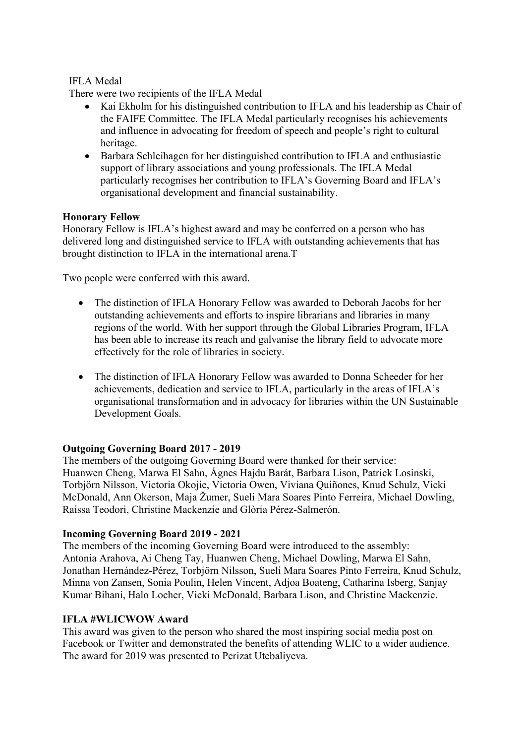#### IFLA Medal

There were two recipients of the IFLA Medal

- Kai Ekholm for his distinguished contribution to IFLA and his leadership as Chair of the FAIFE Committee. The IFLA Medal particularly recognises his achievements and influence in advocating for freedom of speech and people's right to cultural heritage.
- Barbara Schleihagen for her distinguished contribution to IFLA and enthusiastic support of library associations and young professionals. The IFLA Medal particularly recognises her contribution to IFLA's Governing Board and IFLA's organisational development and financial sustainability.

#### **Honorary Fellow**

Honorary Fellow is IFLA's highest award and may be conferred on a person who has delivered long and distinguished service to IFLA with outstanding achievements that has brought distinction to IFLA in the international arena.T

Two people were conferred with this award.

- The distinction of IFLA Honorary Fellow was awarded to Deborah Jacobs for her outstanding achievements and efforts to inspire librarians and libraries in many regions of the world. With her support through the Global Libraries Program, IFLA has been able to increase its reach and galvanise the library field to advocate more effectively for the role of libraries in society.
- The distinction of IFLA Honorary Fellow was awarded to Donna Scheeder for her achievements, dedication and service to IFLA, particularly in the areas of IFLA's organisational transformation and in advocacy for libraries within the UN Sustainable Development Goals.

## **Outgoing Governing Board 2017 - 2019**

The members of the outgoing Governing Board were thanked for their service: Huanwen Cheng, Marwa El Sahn, Ágnes Hajdu Barát, Barbara Lison, Patrick Losinski, Torbjörn Nilsson, Victoria Okojie, Victoria Owen, Viviana Quiñones, Knud Schulz, Vicki McDonald, Ann Okerson, Maja Žumer, Sueli Mara Soares Pinto Ferreira, Michael Dowling, Raissa Teodori, Christine Mackenzie and Glòria Pérez-Salmerón.

#### **Incoming Governing Board 2019 - 2021**

The members of the incoming Governing Board were introduced to the assembly: Antonia Arahova, Ai Cheng Tay, Huanwen Cheng, Michael Dowling, Marwa El Sahn, Jonathan Hernández-Pérez, Torbjörn Nilsson, Sueli Mara Soares Pinto Ferreira, Knud Schulz, Minna von Zansen, Sonia Poulin, Helen Vincent, Adjoa Boateng, Catharina Isberg, Sanjay Kumar Bihani, Halo Locher, Vicki McDonald, Barbara Lison, and Christine Mackenzie.

#### **IFLA #WLICWOW Award**

This award was given to the person who shared the most inspiring social media post on Facebook or Twitter and demonstrated the benefits of attending WLIC to a wider audience. The award for 2019 was presented to Perizat Utebaliyeva.